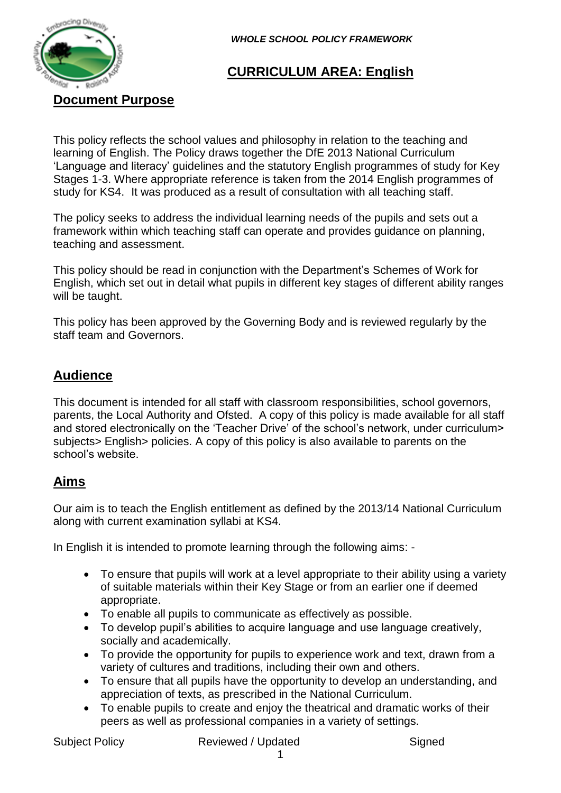

*WHOLE SCHOOL POLICY FRAMEWORK* 

## **CURRICULUM AREA: English**

**Document Purpose**

This policy reflects the school values and philosophy in relation to the teaching and learning of English. The Policy draws together the DfE 2013 National Curriculum 'Language and literacy' guidelines and the statutory English programmes of study for Key Stages 1-3. Where appropriate reference is taken from the 2014 English programmes of study for KS4. It was produced as a result of consultation with all teaching staff.

The policy seeks to address the individual learning needs of the pupils and sets out a framework within which teaching staff can operate and provides guidance on planning, teaching and assessment.

This policy should be read in conjunction with the Department's Schemes of Work for English, which set out in detail what pupils in different key stages of different ability ranges will be taught.

This policy has been approved by the Governing Body and is reviewed regularly by the staff team and Governors.

## **Audience**

This document is intended for all staff with classroom responsibilities, school governors, parents, the Local Authority and Ofsted. A copy of this policy is made available for all staff and stored electronically on the 'Teacher Drive' of the school's network, under curriculum> subjects> English> policies. A copy of this policy is also available to parents on the school's website.

## **Aims**

Our aim is to teach the English entitlement as defined by the 2013/14 National Curriculum along with current examination syllabi at KS4.

In English it is intended to promote learning through the following aims: -

- To ensure that pupils will work at a level appropriate to their ability using a variety of suitable materials within their Key Stage or from an earlier one if deemed appropriate.
- To enable all pupils to communicate as effectively as possible.
- To develop pupil's abilities to acquire language and use language creatively, socially and academically.
- To provide the opportunity for pupils to experience work and text, drawn from a variety of cultures and traditions, including their own and others.
- To ensure that all pupils have the opportunity to develop an understanding, and appreciation of texts, as prescribed in the National Curriculum.
- To enable pupils to create and enjoy the theatrical and dramatic works of their peers as well as professional companies in a variety of settings.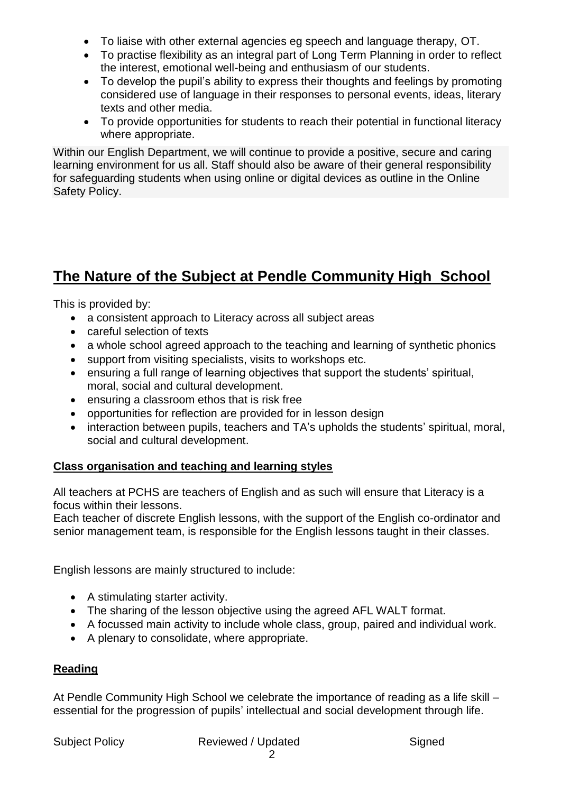- To liaise with other external agencies eg speech and language therapy, OT.
- To practise flexibility as an integral part of Long Term Planning in order to reflect the interest, emotional well-being and enthusiasm of our students.
- To develop the pupil's ability to express their thoughts and feelings by promoting considered use of language in their responses to personal events, ideas, literary texts and other media.
- To provide opportunities for students to reach their potential in functional literacy where appropriate.

Within our English Department, we will continue to provide a positive, secure and caring learning environment for us all. Staff should also be aware of their general responsibility for safeguarding students when using online or digital devices as outline in the Online Safety Policy.

# **The Nature of the Subject at Pendle Community High School**

This is provided by:

- a consistent approach to Literacy across all subject areas
- careful selection of texts
- a whole school agreed approach to the teaching and learning of synthetic phonics
- support from visiting specialists, visits to workshops etc.
- ensuring a full range of learning objectives that support the students' spiritual, moral, social and cultural development.
- ensuring a classroom ethos that is risk free
- opportunities for reflection are provided for in lesson design
- interaction between pupils, teachers and TA's upholds the students' spiritual, moral, social and cultural development.

### **Class organisation and teaching and learning styles**

All teachers at PCHS are teachers of English and as such will ensure that Literacy is a focus within their lessons.

Each teacher of discrete English lessons, with the support of the English co-ordinator and senior management team, is responsible for the English lessons taught in their classes.

English lessons are mainly structured to include:

- A stimulating starter activity.
- The sharing of the lesson objective using the agreed AFL WALT format.
- A focussed main activity to include whole class, group, paired and individual work.
- A plenary to consolidate, where appropriate.

### **Reading**

At Pendle Community High School we celebrate the importance of reading as a life skill – essential for the progression of pupils' intellectual and social development through life.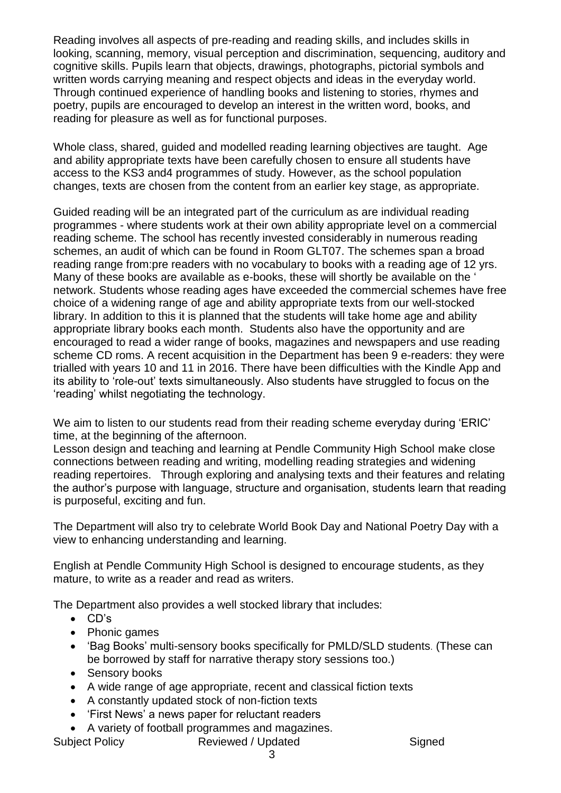Reading involves all aspects of pre-reading and reading skills, and includes skills in looking, scanning, memory, visual perception and discrimination, sequencing, auditory and cognitive skills. Pupils learn that objects, drawings, photographs, pictorial symbols and written words carrying meaning and respect objects and ideas in the everyday world. Through continued experience of handling books and listening to stories, rhymes and poetry, pupils are encouraged to develop an interest in the written word, books, and reading for pleasure as well as for functional purposes.

Whole class, shared, guided and modelled reading learning objectives are taught. Age and ability appropriate texts have been carefully chosen to ensure all students have access to the KS3 and4 programmes of study. However, as the school population changes, texts are chosen from the content from an earlier key stage, as appropriate.

Guided reading will be an integrated part of the curriculum as are individual reading programmes - where students work at their own ability appropriate level on a commercial reading scheme. The school has recently invested considerably in numerous reading schemes, an audit of which can be found in Room GLT07. The schemes span a broad reading range from:pre readers with no vocabulary to books with a reading age of 12 yrs. Many of these books are available as e-books, these will shortly be available on the ' network. Students whose reading ages have exceeded the commercial schemes have free choice of a widening range of age and ability appropriate texts from our well-stocked library. In addition to this it is planned that the students will take home age and ability appropriate library books each month. Students also have the opportunity and are encouraged to read a wider range of books, magazines and newspapers and use reading scheme CD roms. A recent acquisition in the Department has been 9 e-readers: they were trialled with years 10 and 11 in 2016. There have been difficulties with the Kindle App and its ability to 'role-out' texts simultaneously. Also students have struggled to focus on the 'reading' whilst negotiating the technology.

We aim to listen to our students read from their reading scheme everyday during 'ERIC' time, at the beginning of the afternoon.

Lesson design and teaching and learning at Pendle Community High School make close connections between reading and writing, modelling reading strategies and widening reading repertoires. Through exploring and analysing texts and their features and relating the author's purpose with language, structure and organisation, students learn that reading is purposeful, exciting and fun.

The Department will also try to celebrate World Book Day and National Poetry Day with a view to enhancing understanding and learning.

English at Pendle Community High School is designed to encourage students, as they mature, to write as a reader and read as writers.

The Department also provides a well stocked library that includes:

- CD's
- Phonic games
- 'Bag Books' multi-sensory books specifically for PMLD/SLD students. (These can be borrowed by staff for narrative therapy story sessions too.)
- Sensory books
- A wide range of age appropriate, recent and classical fiction texts
- A constantly updated stock of non-fiction texts
- 'First News' a news paper for reluctant readers
- A variety of football programmes and magazines.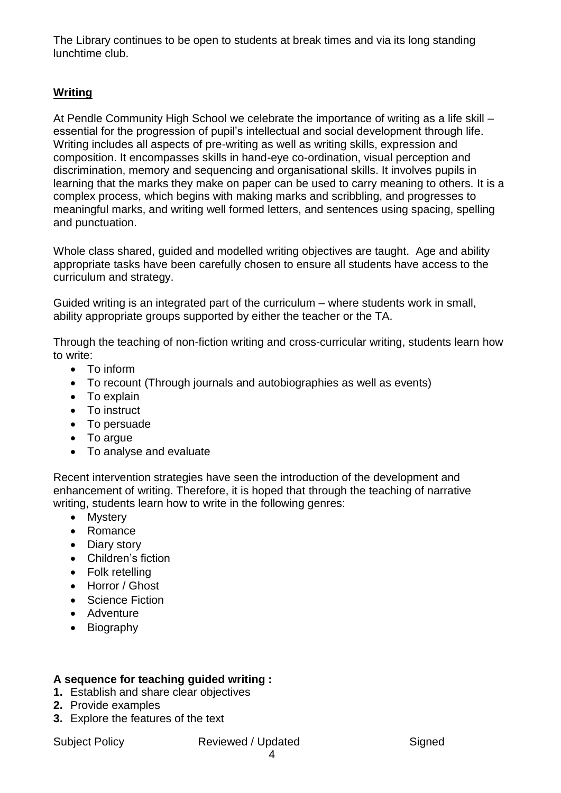The Library continues to be open to students at break times and via its long standing lunchtime club.

## **Writing**

At Pendle Community High School we celebrate the importance of writing as a life skill – essential for the progression of pupil's intellectual and social development through life. Writing includes all aspects of pre-writing as well as writing skills, expression and composition. It encompasses skills in hand-eye co-ordination, visual perception and discrimination, memory and sequencing and organisational skills. It involves pupils in learning that the marks they make on paper can be used to carry meaning to others. It is a complex process, which begins with making marks and scribbling, and progresses to meaningful marks, and writing well formed letters, and sentences using spacing, spelling and punctuation.

Whole class shared, guided and modelled writing objectives are taught. Age and ability appropriate tasks have been carefully chosen to ensure all students have access to the curriculum and strategy.

Guided writing is an integrated part of the curriculum – where students work in small, ability appropriate groups supported by either the teacher or the TA.

Through the teaching of non-fiction writing and cross-curricular writing, students learn how to write:

- To inform
- To recount (Through journals and autobiographies as well as events)
- To explain
- To instruct
- To persuade
- To argue
- To analyse and evaluate

Recent intervention strategies have seen the introduction of the development and enhancement of writing. Therefore, it is hoped that through the teaching of narrative writing, students learn how to write in the following genres:

- Mystery
- Romance
- Diary story
- Children's fiction
- Folk retelling
- Horror / Ghost
- Science Fiction
- Adventure
- Biography

### **A sequence for teaching guided writing :**

- **1.** Establish and share clear objectives
- **2.** Provide examples
- **3.** Explore the features of the text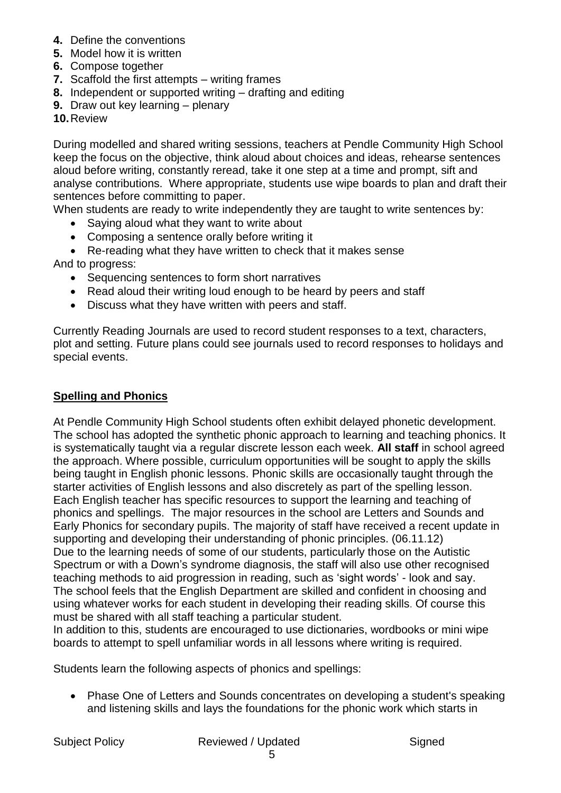- **4.** Define the conventions
- **5.** Model how it is written
- **6.** Compose together
- **7.** Scaffold the first attempts writing frames
- **8.** Independent or supported writing drafting and editing
- **9.** Draw out key learning plenary
- **10.**Review

During modelled and shared writing sessions, teachers at Pendle Community High School keep the focus on the objective, think aloud about choices and ideas, rehearse sentences aloud before writing, constantly reread, take it one step at a time and prompt, sift and analyse contributions. Where appropriate, students use wipe boards to plan and draft their sentences before committing to paper.

When students are ready to write independently they are taught to write sentences by:

- Saying aloud what they want to write about
- Composing a sentence orally before writing it
- Re-reading what they have written to check that it makes sense

And to progress:

- Sequencing sentences to form short narratives
- Read aloud their writing loud enough to be heard by peers and staff
- Discuss what they have written with peers and staff.

Currently Reading Journals are used to record student responses to a text, characters, plot and setting. Future plans could see journals used to record responses to holidays and special events.

#### **Spelling and Phonics**

At Pendle Community High School students often exhibit delayed phonetic development. The school has adopted the synthetic phonic approach to learning and teaching phonics. It is systematically taught via a regular discrete lesson each week. **All staff** in school agreed the approach. Where possible, curriculum opportunities will be sought to apply the skills being taught in English phonic lessons. Phonic skills are occasionally taught through the starter activities of English lessons and also discretely as part of the spelling lesson. Each English teacher has specific resources to support the learning and teaching of phonics and spellings. The major resources in the school are Letters and Sounds and Early Phonics for secondary pupils. The majority of staff have received a recent update in supporting and developing their understanding of phonic principles. (06.11.12) Due to the learning needs of some of our students, particularly those on the Autistic Spectrum or with a Down's syndrome diagnosis, the staff will also use other recognised teaching methods to aid progression in reading, such as 'sight words' - look and say. The school feels that the English Department are skilled and confident in choosing and using whatever works for each student in developing their reading skills. Of course this must be shared with all staff teaching a particular student.

In addition to this, students are encouraged to use dictionaries, wordbooks or mini wipe boards to attempt to spell unfamiliar words in all lessons where writing is required.

Students learn the following aspects of phonics and spellings:

 Phase One of Letters and Sounds concentrates on developing a student's speaking and listening skills and lays the foundations for the phonic work which starts in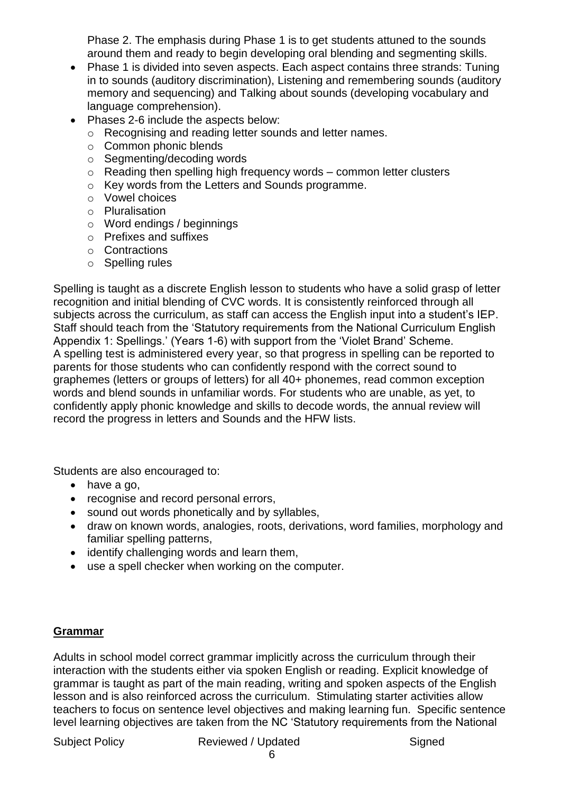Phase 2. The emphasis during Phase 1 is to get students attuned to the sounds around them and ready to begin developing oral blending and segmenting skills.

- Phase 1 is divided into seven aspects. Each aspect contains three strands: Tuning in to sounds (auditory discrimination), Listening and remembering sounds (auditory memory and sequencing) and Talking about sounds (developing vocabulary and language comprehension).
- Phases 2-6 include the aspects below:
	- o Recognising and reading letter sounds and letter names.
	- o Common phonic blends
	- o Segmenting/decoding words
	- $\circ$  Reading then spelling high frequency words common letter clusters
	- o Key words from the Letters and Sounds programme.
	- o Vowel choices
	- o Pluralisation
	- o Word endings / beginnings
	- o Prefixes and suffixes
	- o Contractions
	- o Spelling rules

Spelling is taught as a discrete English lesson to students who have a solid grasp of letter recognition and initial blending of CVC words. It is consistently reinforced through all subjects across the curriculum, as staff can access the English input into a student's IEP. Staff should teach from the 'Statutory requirements from the National Curriculum English Appendix 1: Spellings.' (Years 1-6) with support from the 'Violet Brand' Scheme. A spelling test is administered every year, so that progress in spelling can be reported to parents for those students who can confidently respond with the correct sound to graphemes (letters or groups of letters) for all 40+ phonemes, read common exception words and blend sounds in unfamiliar words. For students who are unable, as yet, to confidently apply phonic knowledge and skills to decode words, the annual review will record the progress in letters and Sounds and the HFW lists.

Students are also encouraged to:

- have a go,
- recognise and record personal errors,
- sound out words phonetically and by syllables,
- draw on known words, analogies, roots, derivations, word families, morphology and familiar spelling patterns,
- identify challenging words and learn them,
- use a spell checker when working on the computer.

#### **Grammar**

Adults in school model correct grammar implicitly across the curriculum through their interaction with the students either via spoken English or reading. Explicit knowledge of grammar is taught as part of the main reading, writing and spoken aspects of the English lesson and is also reinforced across the curriculum. Stimulating starter activities allow teachers to focus on sentence level objectives and making learning fun. Specific sentence level learning objectives are taken from the NC 'Statutory requirements from the National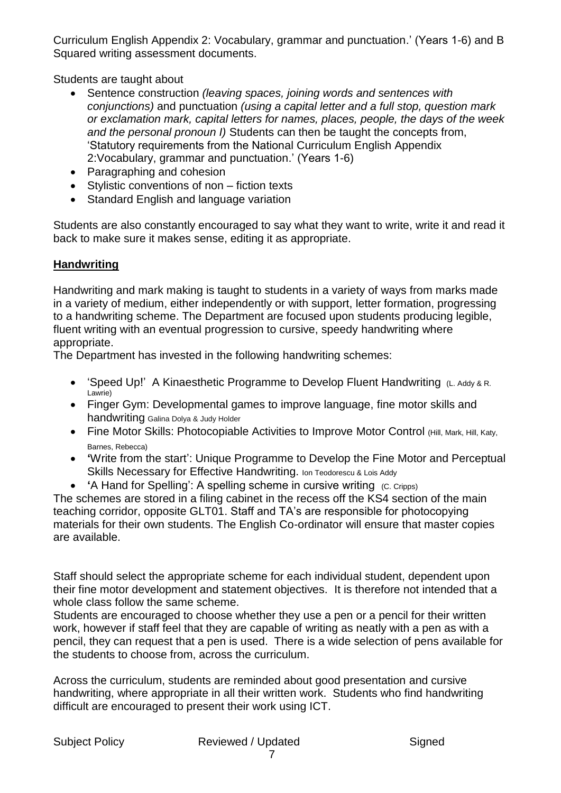Curriculum English Appendix 2: Vocabulary, grammar and punctuation.' (Years 1-6) and B Squared writing assessment documents.

Students are taught about

- Sentence construction *(leaving spaces, joining words and sentences with conjunctions)* and punctuation *(using a capital letter and a full stop, question mark or exclamation mark, capital letters for names, places, people, the days of the week and the personal pronoun I)* Students can then be taught the concepts from, 'Statutory requirements from the National Curriculum English Appendix 2:Vocabulary, grammar and punctuation.' (Years 1-6)
- Paragraphing and cohesion
- Stylistic conventions of non fiction texts
- Standard English and language variation

Students are also constantly encouraged to say what they want to write, write it and read it back to make sure it makes sense, editing it as appropriate.

## **Handwriting**

Handwriting and mark making is taught to students in a variety of ways from marks made in a variety of medium, either independently or with support, letter formation, progressing to a handwriting scheme. The Department are focused upon students producing legible, fluent writing with an eventual progression to cursive, speedy handwriting where appropriate.

The Department has invested in the following handwriting schemes:

- 'Speed Up!' A [Kinaesthetic Programme to Develop Fluent Handwriting](http://www.amazon.co.uk/Speed-Up-Kinaesthetic-Programme-Handwriting/dp/1855033860/ref=sr_1_2?s=books&ie=UTF8&qid=1424343378&sr=1-2&keywords=handwriting+scheme) (L. Addy & R. [Lawrie\)](http://www.amazon.co.uk/Speed-Up-Kinaesthetic-Programme-Handwriting/dp/1855033860/ref=sr_1_2?s=books&ie=UTF8&qid=1424343378&sr=1-2&keywords=handwriting+scheme)
- [Finger Gym: Developmental games to improve language,](https://www.amazon.co.uk/gp/product/190645325X/ref=oh_aui_search_detailpage?ie=UTF8&psc=1) fine motor skills and [handwriting](https://www.amazon.co.uk/gp/product/190645325X/ref=oh_aui_search_detailpage?ie=UTF8&psc=1) Galina Dolya & Judy Holder
- Fine Motor [Skills: Photocopiable Activities to Improve](https://www.amazon.co.uk/gp/product/1855034042/ref=oh_aui_search_detailpage?ie=UTF8&psc=1) Motor Control (Hill, Mark, Hill, Katy, Barnes, Rebecca)
- **'**[Write from the start': Unique Programme to Develop the Fine Motor and Perceptual](http://www.amazon.co.uk/Write-start-Programme-Perceptual-Handwriting/dp/1855032457/ref=sr_1_3?s=books&ie=UTF8&qid=1424343378&sr=1-3&keywords=handwriting+scheme)  [Skills Necessary for Effective](http://www.amazon.co.uk/Write-start-Programme-Perceptual-Handwriting/dp/1855032457/ref=sr_1_3?s=books&ie=UTF8&qid=1424343378&sr=1-3&keywords=handwriting+scheme) Handwriting. [Ion Teodorescu](http://www.amazon.co.uk/Ion-Teodorescu/e/B0034Q71C2/ref=dp_byline_cont_book_1) & [Lois Addy](http://www.amazon.co.uk/s/ref=dp_byline_sr_book_2?ie=UTF8&field-author=Lois+Addy&search-alias=books-uk&text=Lois+Addy&sort=relevancerank)
- **'**A Hand for Spelling': A spelling scheme in cursive writing (C. Cripps)

The schemes are stored in a filing cabinet in the recess off the KS4 section of the main teaching corridor, opposite GLT01. Staff and TA's are responsible for photocopying materials for their own students. The English Co-ordinator will ensure that master copies are available.

Staff should select the appropriate scheme for each individual student, dependent upon their fine motor development and statement objectives. It is therefore not intended that a whole class follow the same scheme.

Students are encouraged to choose whether they use a pen or a pencil for their written work, however if staff feel that they are capable of writing as neatly with a pen as with a pencil, they can request that a pen is used. There is a wide selection of pens available for the students to choose from, across the curriculum.

Across the curriculum, students are reminded about good presentation and cursive handwriting, where appropriate in all their written work. Students who find handwriting difficult are encouraged to present their work using ICT.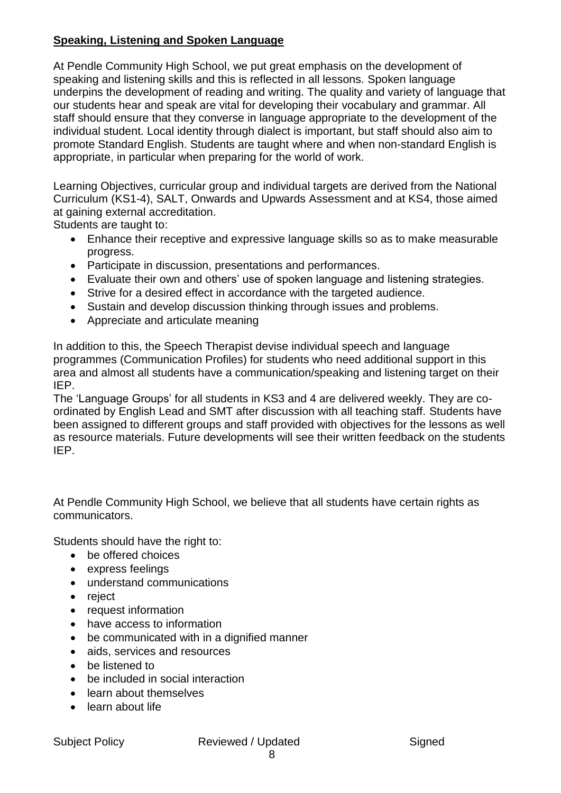### **Speaking, Listening and Spoken Language**

At Pendle Community High School, we put great emphasis on the development of speaking and listening skills and this is reflected in all lessons. Spoken language underpins the development of reading and writing. The quality and variety of language that our students hear and speak are vital for developing their vocabulary and grammar. All staff should ensure that they converse in language appropriate to the development of the individual student. Local identity through dialect is important, but staff should also aim to promote Standard English. Students are taught where and when non-standard English is appropriate, in particular when preparing for the world of work.

Learning Objectives, curricular group and individual targets are derived from the National Curriculum (KS1-4), SALT, Onwards and Upwards Assessment and at KS4, those aimed at gaining external accreditation.

Students are taught to:

- Enhance their receptive and expressive language skills so as to make measurable progress.
- Participate in discussion, presentations and performances.
- Evaluate their own and others' use of spoken language and listening strategies.
- Strive for a desired effect in accordance with the targeted audience.
- Sustain and develop discussion thinking through issues and problems.
- Appreciate and articulate meaning

In addition to this, the Speech Therapist devise individual speech and language programmes (Communication Profiles) for students who need additional support in this area and almost all students have a communication/speaking and listening target on their IEP.

The 'Language Groups' for all students in KS3 and 4 are delivered weekly. They are coordinated by English Lead and SMT after discussion with all teaching staff. Students have been assigned to different groups and staff provided with objectives for the lessons as well as resource materials. Future developments will see their written feedback on the students IEP.

At Pendle Community High School, we believe that all students have certain rights as communicators.

Students should have the right to:

- be offered choices
- express feelings
- understand communications
- reject
- request information
- have access to information
- be communicated with in a dignified manner
- aids, services and resources
- be listened to
- be included in social interaction
- learn about themselves
- learn about life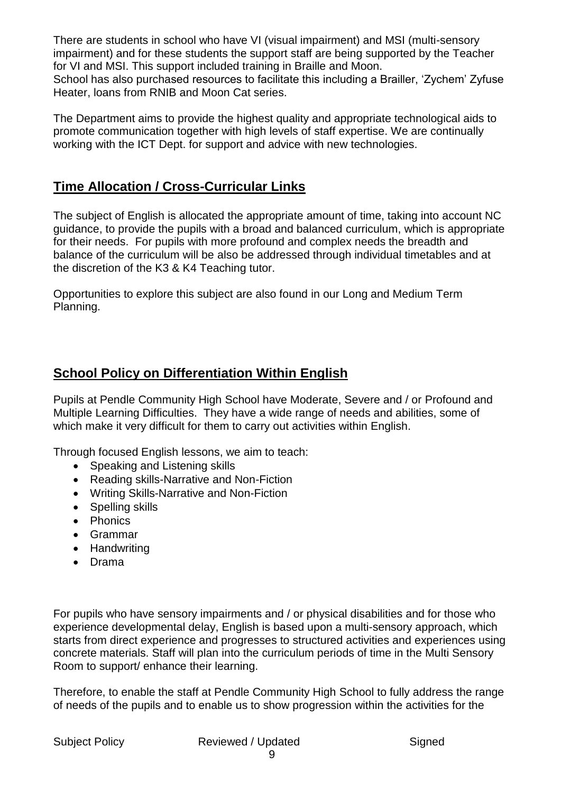There are students in school who have VI (visual impairment) and MSI (multi-sensory impairment) and for these students the support staff are being supported by the Teacher for VI and MSI. This support included training in Braille and Moon. School has also purchased resources to facilitate this including a Brailler, 'Zychem' Zyfuse Heater, loans from RNIB and Moon Cat series.

The Department aims to provide the highest quality and appropriate technological aids to promote communication together with high levels of staff expertise. We are continually working with the ICT Dept. for support and advice with new technologies.

## **Time Allocation / Cross-Curricular Links**

The subject of English is allocated the appropriate amount of time, taking into account NC guidance, to provide the pupils with a broad and balanced curriculum, which is appropriate for their needs. For pupils with more profound and complex needs the breadth and balance of the curriculum will be also be addressed through individual timetables and at the discretion of the K3 & K4 Teaching tutor.

Opportunities to explore this subject are also found in our Long and Medium Term Planning.

## **School Policy on Differentiation Within English**

Pupils at Pendle Community High School have Moderate, Severe and / or Profound and Multiple Learning Difficulties. They have a wide range of needs and abilities, some of which make it very difficult for them to carry out activities within English.

Through focused English lessons, we aim to teach:

- Speaking and Listening skills
- Reading skills-Narrative and Non-Fiction
- Writing Skills-Narrative and Non-Fiction
- Spelling skills
- Phonics
- Grammar
- Handwriting
- Drama

For pupils who have sensory impairments and / or physical disabilities and for those who experience developmental delay, English is based upon a multi-sensory approach, which starts from direct experience and progresses to structured activities and experiences using concrete materials. Staff will plan into the curriculum periods of time in the Multi Sensory Room to support/ enhance their learning.

Therefore, to enable the staff at Pendle Community High School to fully address the range of needs of the pupils and to enable us to show progression within the activities for the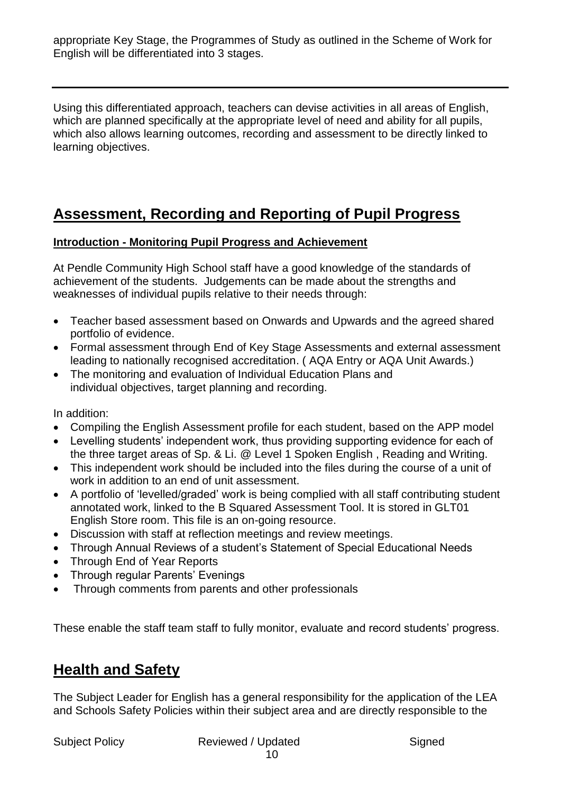appropriate Key Stage, the Programmes of Study as outlined in the Scheme of Work for English will be differentiated into 3 stages.

Using this differentiated approach, teachers can devise activities in all areas of English, which are planned specifically at the appropriate level of need and ability for all pupils, which also allows learning outcomes, recording and assessment to be directly linked to learning objectives.

# **Assessment, Recording and Reporting of Pupil Progress**

### **Introduction - Monitoring Pupil Progress and Achievement**

At Pendle Community High School staff have a good knowledge of the standards of achievement of the students. Judgements can be made about the strengths and weaknesses of individual pupils relative to their needs through:

- Teacher based assessment based on Onwards and Upwards and the agreed shared portfolio of evidence.
- Formal assessment through End of Key Stage Assessments and external assessment leading to nationally recognised accreditation. ( AQA Entry or AQA Unit Awards.)
- The monitoring and evaluation of Individual Education Plans and individual objectives, target planning and recording.

In addition:

- Compiling the English Assessment profile for each student, based on the APP model
- Levelling students' independent work, thus providing supporting evidence for each of the three target areas of Sp. & Li. @ Level 1 Spoken English , Reading and Writing.
- This independent work should be included into the files during the course of a unit of work in addition to an end of unit assessment.
- A portfolio of 'levelled/graded' work is being complied with all staff contributing student annotated work, linked to the B Squared Assessment Tool. It is stored in GLT01 English Store room. This file is an on-going resource.
- Discussion with staff at reflection meetings and review meetings.
- Through Annual Reviews of a student's Statement of Special Educational Needs
- Through End of Year Reports
- Through regular Parents' Evenings
- Through comments from parents and other professionals

These enable the staff team staff to fully monitor, evaluate and record students' progress.

## **Health and Safety**

The Subject Leader for English has a general responsibility for the application of the LEA and Schools Safety Policies within their subject area and are directly responsible to the